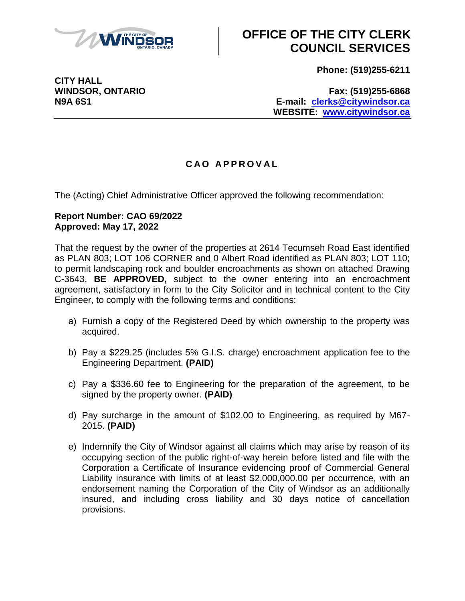

# **OFFICE OF THE CITY CLERK COUNCIL SERVICES**

**Phone: (519)255-6211**

**CITY HALL**

**WINDSOR, ONTARIO Fax: (519)255-6868 N9A 6S1 E-mail: [clerks@citywindsor.ca](mailto:clerks@citywindsor.ca) WEBSITE: [www.citywindsor.ca](http://www.citywindsor.ca/)**

### **C A O A P P R O V A L**

The (Acting) Chief Administrative Officer approved the following recommendation:

#### **Report Number: CAO 69/2022 Approved: May 17, 2022**

That the request by the owner of the properties at 2614 Tecumseh Road East identified as PLAN 803; LOT 106 CORNER and 0 Albert Road identified as PLAN 803; LOT 110; to permit landscaping rock and boulder encroachments as shown on attached Drawing C-3643, **BE APPROVED,** subject to the owner entering into an encroachment agreement, satisfactory in form to the City Solicitor and in technical content to the City Engineer, to comply with the following terms and conditions:

- a) Furnish a copy of the Registered Deed by which ownership to the property was acquired.
- b) Pay a \$229.25 (includes 5% G.I.S. charge) encroachment application fee to the Engineering Department. **(PAID)**
- c) Pay a \$336.60 fee to Engineering for the preparation of the agreement, to be signed by the property owner. **(PAID)**
- d) Pay surcharge in the amount of \$102.00 to Engineering, as required by M67- 2015. **(PAID)**
- e) Indemnify the City of Windsor against all claims which may arise by reason of its occupying section of the public right-of-way herein before listed and file with the Corporation a Certificate of Insurance evidencing proof of Commercial General Liability insurance with limits of at least \$2,000,000.00 per occurrence, with an endorsement naming the Corporation of the City of Windsor as an additionally insured, and including cross liability and 30 days notice of cancellation provisions.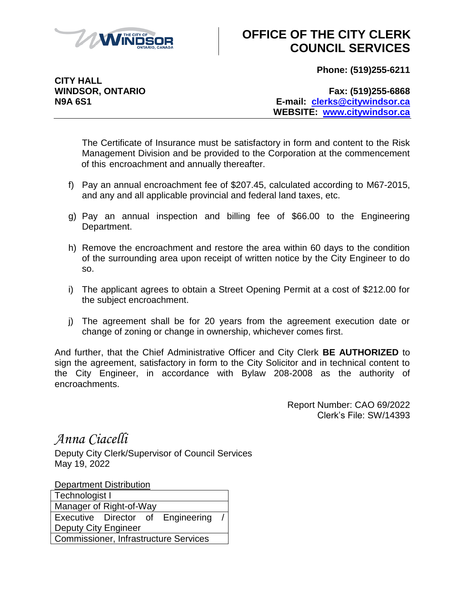

# **OFFICE OF THE CITY CLERK COUNCIL SERVICES**

**Phone: (519)255-6211**

**CITY HALL**

**WINDSOR, ONTARIO Fax: (519)255-6868 N9A 6S1 E-mail: [clerks@citywindsor.ca](mailto:clerks@citywindsor.ca) WEBSITE: [www.citywindsor.ca](http://www.citywindsor.ca/)**

The Certificate of Insurance must be satisfactory in form and content to the Risk Management Division and be provided to the Corporation at the commencement of this encroachment and annually thereafter.

- f) Pay an annual encroachment fee of \$207.45, calculated according to M67-2015, and any and all applicable provincial and federal land taxes, etc.
- g) Pay an annual inspection and billing fee of \$66.00 to the Engineering Department.
- h) Remove the encroachment and restore the area within 60 days to the condition of the surrounding area upon receipt of written notice by the City Engineer to do so.
- i) The applicant agrees to obtain a Street Opening Permit at a cost of \$212.00 for the subject encroachment.
- j) The agreement shall be for 20 years from the agreement execution date or change of zoning or change in ownership, whichever comes first.

And further, that the Chief Administrative Officer and City Clerk **BE AUTHORIZED** to sign the agreement, satisfactory in form to the City Solicitor and in technical content to the City Engineer, in accordance with Bylaw 208-2008 as the authority of encroachments.

> Report Number: CAO 69/2022 Clerk's File: SW/14393

*Anna Ciacelli*

Deputy City Clerk/Supervisor of Council Services May 19, 2022

Department Distribution

| Technologist I                               |  |  |                                   |  |
|----------------------------------------------|--|--|-----------------------------------|--|
| Manager of Right-of-Way                      |  |  |                                   |  |
|                                              |  |  | Executive Director of Engineering |  |
| <b>Deputy City Engineer</b>                  |  |  |                                   |  |
| <b>Commissioner, Infrastructure Services</b> |  |  |                                   |  |